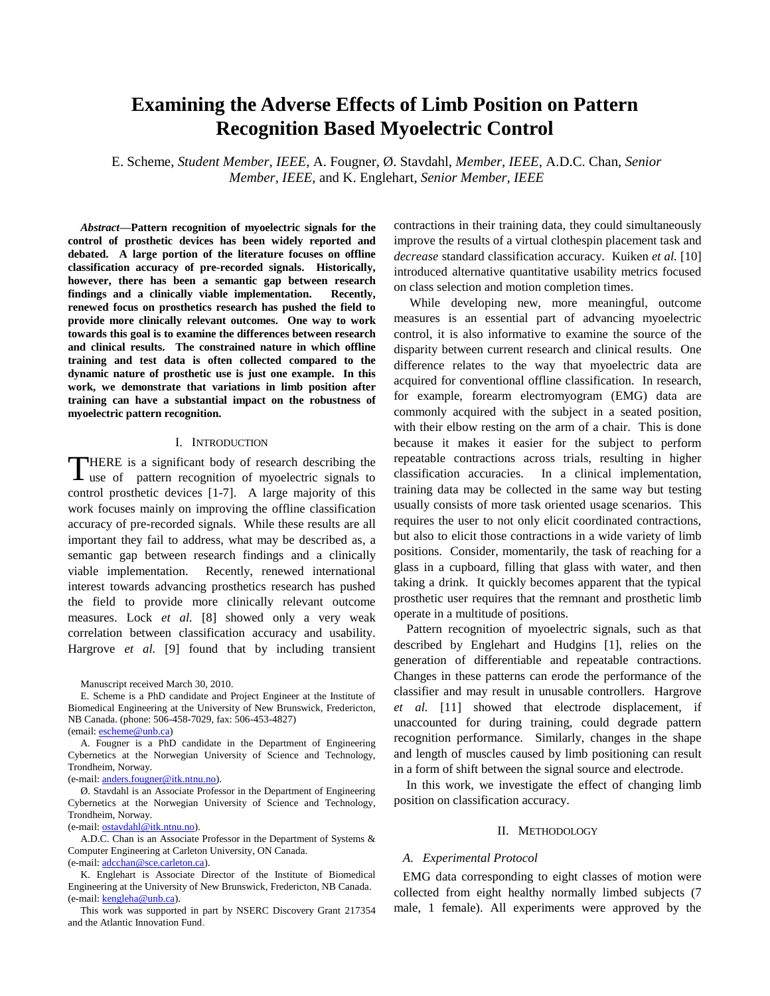# **Examining the Adverse Effects of Limb Position on Pattern Recognition Based Myoelectric Control**

E. Scheme, *Student Member, IEEE*, A. Fougner, Ø. Stavdahl, *Member, IEEE,* A.D.C. Chan, *Senior Member, IEEE,* and K. Englehart, *Senior Member, IEEE*

*Abstract***—Pattern recognition of myoelectric signals for the control of prosthetic devices has been widely reported and debated. A large portion of the literature focuses on offline classification accuracy of pre-recorded signals. Historically, however, there has been a semantic gap between research findings and a clinically viable implementation. Recently, renewed focus on prosthetics research has pushed the field to provide more clinically relevant outcomes. One way to work towards this goal is to examine the differences between research and clinical results. The constrained nature in which offline training and test data is often collected compared to the dynamic nature of prosthetic use is just one example. In this work, we demonstrate that variations in limb position after training can have a substantial impact on the robustness of myoelectric pattern recognition.** 

### I. INTRODUCTION

HERE is a significant body of research describing the THERE is a significant body of research describing the use of pattern recognition of myoelectric signals to control prosthetic devices [1-7]. A large majority of this work focuses mainly on improving the offline classification accuracy of pre-recorded signals. While these results are all important they fail to address, what may be described as, a semantic gap between research findings and a clinically viable implementation. Recently, renewed international interest towards advancing prosthetics research has pushed the field to provide more clinically relevant outcome measures. Lock *et al.* [8] showed only a very weak correlation between classification accuracy and usability. Hargrove *et al.* [9] found that by including transient

Manuscript received March 30, 2010.

E. Scheme is a PhD candidate and Project Engineer at the Institute of Biomedical Engineering at the University of New Brunswick, Fredericton, NB Canada. (phone: 506-458-7029, fax: 506-453-4827) (email[: escheme@unb.ca\)](mailto:escheme@unb.ca)

A. Fougner is a PhD candidate in the Department of Engineering Cybernetics at the Norwegian University of Science and Technology, Trondheim, Norway.

(e-mail: [anders.fougner@itk.ntnu.no\)](mailto:anders.fougner@unb.ca).

Ø. Stavdahl is an Associate Professor in the Department of Engineering Cybernetics at the Norwegian University of Science and Technology, Trondheim, Norway.

(e-mail[: ostavdahl@itk.ntnu.no\)](mailto:ostavdahl@itk.ntnu.no).

A.D.C. Chan is an Associate Professor in the Department of Systems & Computer Engineering at Carleton University, ON Canada. (e-mail[: adcchan@sce.carleton.ca\)](mailto:adcchan@sce.carleton.ca).

K. Englehart is Associate Director of the Institute of Biomedical Engineering at the University of New Brunswick, Fredericton, NB Canada. (e-mail[: kengleha@unb.ca\)](mailto:kengleha@unb.ca).

This work was supported in part by NSERC Discovery Grant 217354 and the Atlantic Innovation Fund.

contractions in their training data, they could simultaneously improve the results of a virtual clothespin placement task and *decrease* standard classification accuracy. Kuiken *et al.* [10] introduced alternative quantitative usability metrics focused on class selection and motion completion times.

While developing new, more meaningful, outcome measures is an essential part of advancing myoelectric control, it is also informative to examine the source of the disparity between current research and clinical results. One difference relates to the way that myoelectric data are acquired for conventional offline classification. In research, for example, forearm electromyogram (EMG) data are commonly acquired with the subject in a seated position, with their elbow resting on the arm of a chair. This is done because it makes it easier for the subject to perform repeatable contractions across trials, resulting in higher classification accuracies. In a clinical implementation, training data may be collected in the same way but testing usually consists of more task oriented usage scenarios. This requires the user to not only elicit coordinated contractions, but also to elicit those contractions in a wide variety of limb positions. Consider, momentarily, the task of reaching for a glass in a cupboard, filling that glass with water, and then taking a drink. It quickly becomes apparent that the typical prosthetic user requires that the remnant and prosthetic limb operate in a multitude of positions.

Pattern recognition of myoelectric signals, such as that described by Englehart and Hudgins [1], relies on the generation of differentiable and repeatable contractions. Changes in these patterns can erode the performance of the classifier and may result in unusable controllers. Hargrove *et al.* [11] showed that electrode displacement, if unaccounted for during training, could degrade pattern recognition performance. Similarly, changes in the shape and length of muscles caused by limb positioning can result in a form of shift between the signal source and electrode.

In this work, we investigate the effect of changing limb position on classification accuracy.

#### II. METHODOLOGY

#### *A. Experimental Protocol*

EMG data corresponding to eight classes of motion were collected from eight healthy normally limbed subjects (7 male, 1 female). All experiments were approved by the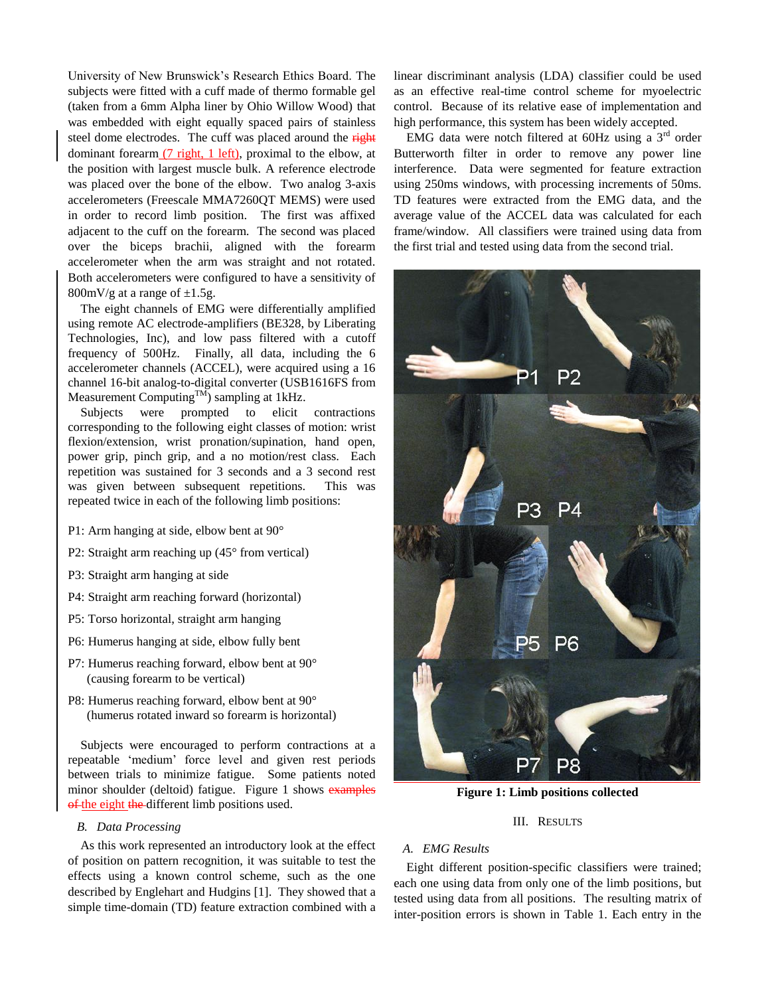University of New Brunswick"s Research Ethics Board. The subjects were fitted with a cuff made of thermo formable gel (taken from a 6mm Alpha liner by Ohio Willow Wood) that was embedded with eight equally spaced pairs of stainless steel dome electrodes. The cuff was placed around the right dominant forearm (7 right, 1 left), proximal to the elbow, at the position with largest muscle bulk. A reference electrode was placed over the bone of the elbow. Two analog 3-axis accelerometers (Freescale MMA7260QT MEMS) were used in order to record limb position. The first was affixed adjacent to the cuff on the forearm. The second was placed over the biceps brachii, aligned with the forearm accelerometer when the arm was straight and not rotated. Both accelerometers were configured to have a sensitivity of 800mV/g at a range of  $\pm 1.5$ g.

The eight channels of EMG were differentially amplified using remote AC electrode-amplifiers (BE328, by Liberating Technologies, Inc), and low pass filtered with a cutoff frequency of 500Hz. Finally, all data, including the 6 accelerometer channels (ACCEL), were acquired using a 16 channel 16-bit analog-to-digital converter (USB1616FS from Measurement Computing $T<sup>M</sup>$ ) sampling at 1kHz.

Subjects were prompted to elicit contractions corresponding to the following eight classes of motion: wrist flexion/extension, wrist pronation/supination, hand open, power grip, pinch grip, and a no motion/rest class. Each repetition was sustained for 3 seconds and a 3 second rest was given between subsequent repetitions. This was repeated twice in each of the following limb positions:

- P1: Arm hanging at side, elbow bent at 90°
- P2: Straight arm reaching up (45° from vertical)
- P3: Straight arm hanging at side
- P4: Straight arm reaching forward (horizontal)
- P5: Torso horizontal, straight arm hanging
- P6: Humerus hanging at side, elbow fully bent
- P7: Humerus reaching forward, elbow bent at 90° (causing forearm to be vertical)
- P8: Humerus reaching forward, elbow bent at 90° (humerus rotated inward so forearm is horizontal)

Subjects were encouraged to perform contractions at a repeatable "medium" force level and given rest periods between trials to minimize fatigue. Some patients noted minor shoulder (deltoid) fatigue. [Figure 1](#page-1-0) shows examples of the eight the different limb positions used.

### *B. Data Processing*

As this work represented an introductory look at the effect of position on pattern recognition, it was suitable to test the effects using a known control scheme, such as the one described by Englehart and Hudgins [1]. They showed that a simple time-domain (TD) feature extraction combined with a linear discriminant analysis (LDA) classifier could be used as an effective real-time control scheme for myoelectric control. Because of its relative ease of implementation and high performance, this system has been widely accepted.

EMG data were notch filtered at  $60$ Hz using a  $3<sup>rd</sup>$  order Butterworth filter in order to remove any power line interference. Data were segmented for feature extraction using 250ms windows, with processing increments of 50ms. TD features were extracted from the EMG data, and the average value of the ACCEL data was calculated for each frame/window. All classifiers were trained using data from the first trial and tested using data from the second trial.



**Figure 1: Limb positions collected**

## III. RESULTS

## <span id="page-1-0"></span>*A. EMG Results*

Eight different position-specific classifiers were trained; each one using data from only one of the limb positions, but tested using data from all positions. The resulting matrix of inter-position errors is shown in [Table 1.](#page-2-0) Each entry in the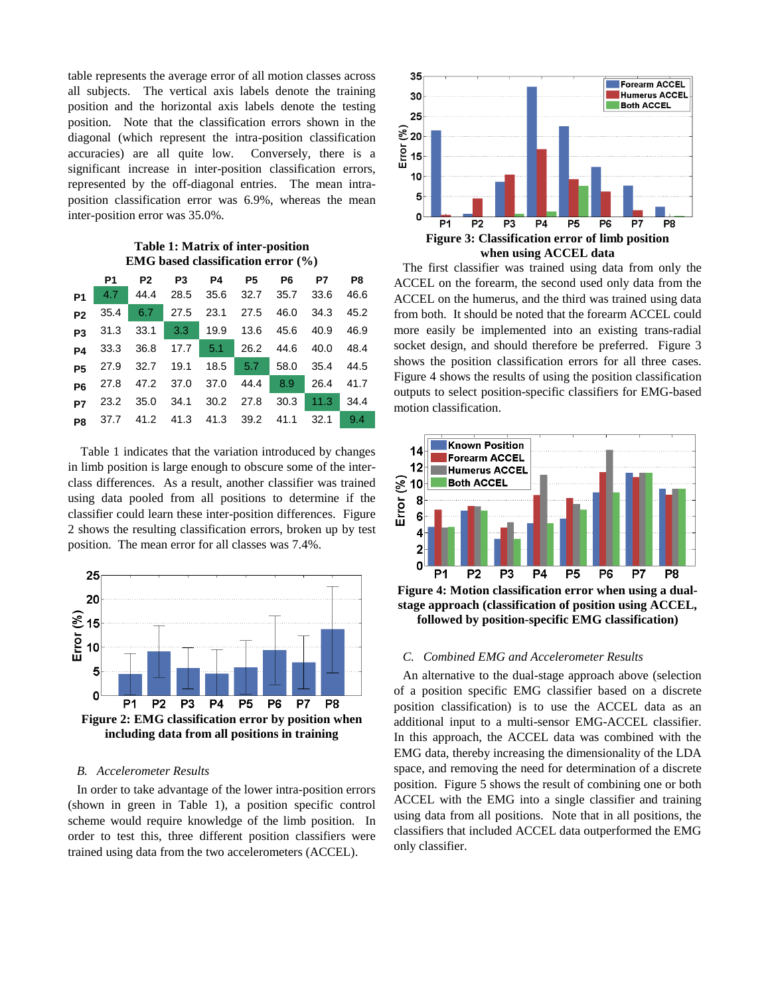table represents the average error of all motion classes across all subjects. The vertical axis labels denote the training position and the horizontal axis labels denote the testing position. Note that the classification errors shown in the diagonal (which represent the intra-position classification accuracies) are all quite low. Conversely, there is a significant increase in inter-position classification errors, represented by the off-diagonal entries. The mean intraposition classification error was 6.9%, whereas the mean inter-position error was 35.0%.

### **Table 1: Matrix of inter-position EMG based classification error (%)**

<span id="page-2-0"></span>

|                | P1 = | P2 P3 P4 P5 P6 P7 P8                             |  |  |  |
|----------------|------|--------------------------------------------------|--|--|--|
|                |      | P1 4.7 44.4 28.5 35.6 32.7 35.7 33.6 46.6        |  |  |  |
| P <sub>2</sub> |      | 35.4 6.7 27.5 23.1 27.5 46.0 34.3 45.2           |  |  |  |
|                |      | <b>p3</b> 31.3 33.1 3.3 19.9 13.6 45.6 40.9 46.9 |  |  |  |
|                |      | P4 33.3 36.8 17.7 5.1 26.2 44.6 40.0 48.4        |  |  |  |
|                |      | <b>p5</b> 27.9 32.7 19.1 18.5 5.7 58.0 35.4 44.5 |  |  |  |
|                |      | P6 27.8 47.2 37.0 37.0 44.4 8.9 26.4 41.7        |  |  |  |
|                |      | 23.2 35.0 34.1 30.2 27.8 30.3 11.3 34.4          |  |  |  |
|                |      | P8 37.7 41.2 41.3 41.3 39.2 41.1 32.1 9.4        |  |  |  |

[Table 1](#page-2-0) indicates that the variation introduced by changes in limb position is large enough to obscure some of the interclass differences. As a result, another classifier was trained using data pooled from all positions to determine if the classifier could learn these inter-position differences. [Figure](#page-2-1)  [2](#page-2-1) shows the resulting classification errors, broken up by test position. The mean error for all classes was 7.4%.



## <span id="page-2-1"></span>*B. Accelerometer Results*

In order to take advantage of the lower intra-position errors (shown in green in [Table 1\)](#page-2-0), a position specific control scheme would require knowledge of the limb position. In order to test this, three different position classifiers were trained using data from the two accelerometers (ACCEL).



<span id="page-2-2"></span>The first classifier was trained using data from only the ACCEL on the forearm, the second used only data from the ACCEL on the humerus, and the third was trained using data from both. It should be noted that the forearm ACCEL could more easily be implemented into an existing trans-radial socket design, and should therefore be preferred. [Figure 3](#page-2-2) shows the position classification errors for all three cases. [Figure 4](#page-2-3) shows the results of using the position classification outputs to select position-specific classifiers for EMG-based motion classification.



<span id="page-2-3"></span>**Figure 4: Motion classification error when using a dualstage approach (classification of position using ACCEL, followed by position-specific EMG classification)**

#### *C. Combined EMG and Accelerometer Results*

An alternative to the dual-stage approach above (selection of a position specific EMG classifier based on a discrete position classification) is to use the ACCEL data as an additional input to a multi-sensor EMG-ACCEL classifier. In this approach, the ACCEL data was combined with the EMG data, thereby increasing the dimensionality of the LDA space, and removing the need for determination of a discrete position. [Figure 5](#page-3-0) shows the result of combining one or both ACCEL with the EMG into a single classifier and training using data from all positions. Note that in all positions, the classifiers that included ACCEL data outperformed the EMG only classifier.